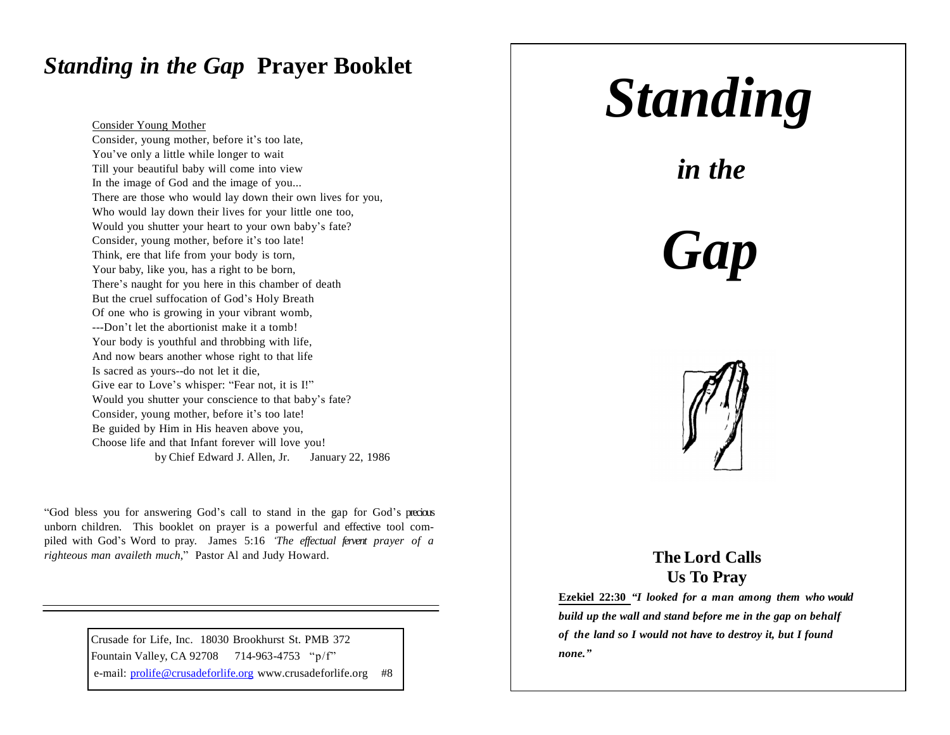# *Standing in the Gap* **Prayer Booklet**

Consider Young [Mother](mailto:prolife@crusadeforlife.org) Consider, young [mother,](mailto:prolife@crusadeforlife.org) before it's too [late,](mailto:prolife@crusadeforlife.org) You've only a little while longer to wait Till your [beautiful](mailto:prolife@crusadeforlife.org) baby will come into [view](http://www.crusadeforlife.org/) In the [image](mailto:prolife@crusadeforlife.org) of God and the image of [you...](mailto:prolife@crusadeforlife.org) There are those who [would](mailto:prolife@crusadeforlife.org) lay down their own lives for you, Who would lay down their lives for your little one too, Would you [shutter](mailto:prolife@crusadeforlife.org) your heart to your own baby's fate? Consider, young mother, before it's too late! Think, ere that life from your [body](mailto:prolife@crusadeforlife.org) is torn, Your baby, like you, has a right to be born, There's naught for you here in this [chamber](mailto:prolife@crusadeforlife.org) of death But the cruel [suffocation](mailto:prolife@crusadeforlife.org) of God's Holy [Breath](http://www.crusadeforlife.org/) Of one who is [growing](mailto:prolife@crusadeforlife.org) in your vibrant womb, ---Don't let the [abortionist](mailto:prolife@crusadeforlife.org) make it a [tomb!](http://www.crusadeforlife.org/) Your body is youthful and throbbing with life, And now bears another whose right to that life Is sacred as yours--do not let it die, Give ear to Love's [whisper:](mailto:prolife@crusadeforlife.org) "Fear [not,](mailto:prolife@crusadeforlife.org) it is I!" Would you shutter your [conscience](mailto:prolife@crusadeforlife.org) to that baby's fate? Consider, young mother, before it's too late! Be guided by Him in His [heaven](mailto:prolife@crusadeforlife.org) [above](http://www.crusadeforlife.org/) you, Choose life and that Infant forever will love you! by Chief Edward J. Allen, Jr. [January](mailto:prolife@crusadeforlife.org) 22, 1986

"God bless you for [answering](mailto:prolife@crusadeforlife.org) God's call to stand in the gap for God's precious unborn children. This booklet on prayer is a powerful and effective tool compiled with God's Word to pray. James 5:16 *'The effectual fervent prayer of a righteous man availeth much*," Pastor Al and Judy Howard.

> Crusade for Life, [Inc. 18030](mailto:prolife@crusadeforlife.org) Brookhurst St. PMB 372 Fountain Valley, [CA 92708](mailto:prolife@crusadeforlife.org) 71[4-963-4753 "p/f"](http://www.crusadeforlife.org/) e-mail: [prolife@crusadeforlife.or](mailto:prolife@crusadeforlife.o)g [www.crusadeforlife.or](http://www.crusadeforlife.o/)g #8

# *Standing*

*in the*

*Gap*



# **The Lord Calls Us To Pray**

**Ezekiel 22:30** *"I looked for a man among them who would build up the wall and stand before me in the gap on behalf of the land so I would not have to destroy it, but I found none."*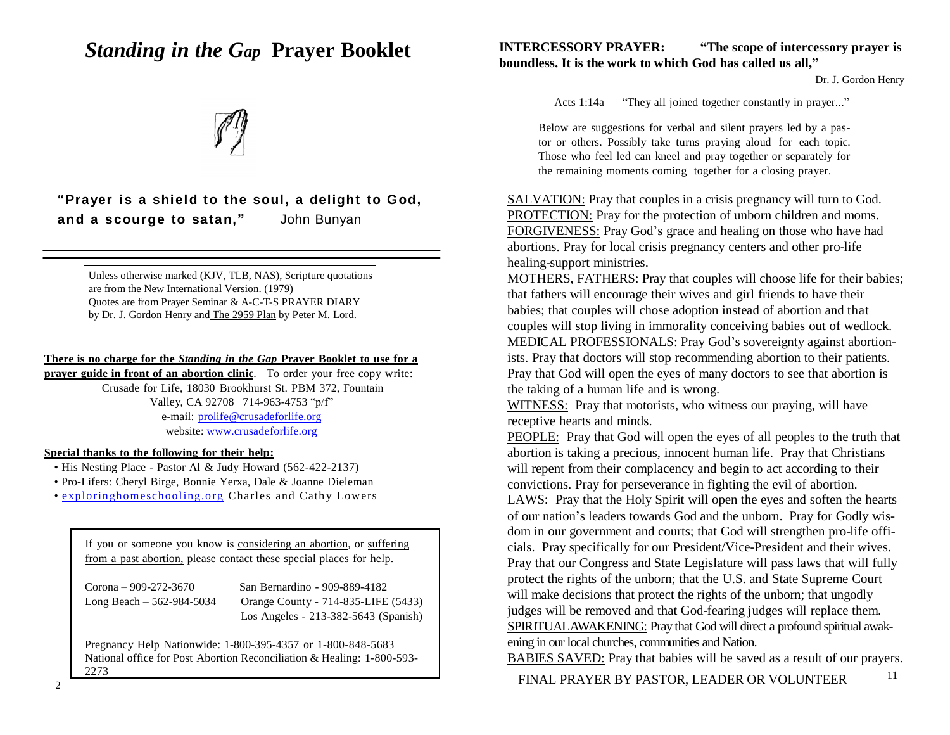

# **"Prayer is a shield to the soul, a delight to God, and a scourge to satan,"** John Bunyan

Unless otherwise marked (KJV, TLB, NAS), Scripture quotations are from the New International Version. (1979) Quotes are from Prayer Seminar & A-C-T-S PRAYER DIARY by Dr. J. Gordon Henry and The 2959 Plan by Peter M. Lord.

#### **There is no charge for the** *Standing in the Gap* **Prayer Booklet to use for a**

**prayer guide in front of an abortion clinic**. To order your free copy write: Crusade for Life, 18030 Brookhurst St. PBM 372, Fountain Valley, CA 92708 714-963-4753 "p/f" e-mail: [prolife@crusadeforlife.org](mailto:prolife@crusadeforlife.org) website[: www.crusadeforlife.org](www.crusadeforlife.org)

#### **Special thanks to the following for their help:**

- His Nesting Place Pastor Al & Judy Howard (562-422-2137)
- Pro-Lifers: Cheryl Birge, Bonnie Yerxa, Dale & Joanne Dieleman
- [exploringhomeschooling.org](http://exploringhomeschooling.org/) Charles and Cathy Lowers

If you or someone you know is considering an abortion, or suffering from a past abortion, please contact these special places for help.

Corona – 909-272-3670 San Bernardino - 909-889-4182 Long Beach – 562-984-5034 Orange County - 714-835-LIFE (5433) Los Angeles - 213-382-5643 (Spanish)

Pregnancy Help Nationwide: 1-800-395-4357 or 1-800-848-5683 National office for Post Abortion Reconciliation & Healing: 1-800-593- 2273

#### **INTERCESSORY PRAYER: "The scope of intercessory prayer is boundless. It is the work to which God has called us all,"**

Dr. J. Gordon Henry

Acts 1:14a "They all joined together constantly in prayer..."

Below are suggestions for verbal and silent prayers led by a pastor or others. Possibly take turns praying aloud for each topic. Those who feel led can kneel and pray together or separately for the remaining moments coming together for a closing prayer.

SALVATION: Pray that couples in a crisis pregnancy will turn to God. PROTECTION: Pray for the protection of unborn children and moms. FORGIVENESS: Pray God's grace and healing on those who have had abortions. Pray for local crisis pregnancy centers and other pro-life healing-support ministries.

MOTHERS, FATHERS: Pray that couples will choose life for their babies; that fathers will encourage their wives and girl friends to have their babies; that couples will chose adoption instead of abortion and that couples will stop living in immorality conceiving babies out of wedlock. MEDICAL PROFESSIONALS: Pray God's sovereignty against abortionists. Pray that doctors will stop recommending abortion to their patients. Pray that God will open the eyes of many doctors to see that abortion is the taking of a human life and is wrong.

WITNESS: Pray that motorists, who witness our praying, will have receptive hearts and minds.

PEOPLE: Pray that God will open the eyes of all peoples to the truth that abortion is taking a precious, innocent human life. Pray that Christians will repent from their complacency and begin to act according to their convictions. Pray for perseverance in fighting the evil of abortion. LAWS: Pray that the Holy Spirit will open the eyes and soften the hearts of our nation's leaders towards God and the unborn. Pray for Godly wisdom in our government and courts; that God will strengthen pro-life officials. Pray specifically for our President/Vice-President and their wives. Pray that our Congress and State Legislature will pass laws that will fully protect the rights of the unborn; that the U.S. and State Supreme Court will make decisions that protect the rights of the unborn; that ungodly judges will be removed and that God-fearing judges will replace them. SPIRITUALAWAKENING: Pray that God will direct a profound spiritual awakening in our local churches, communities and Nation.

BABIES SAVED: Pray that babies will be saved as a result of our prayers.

FINAL PRAYER BY PASTOR, LEADER OR VOLUNTEER 11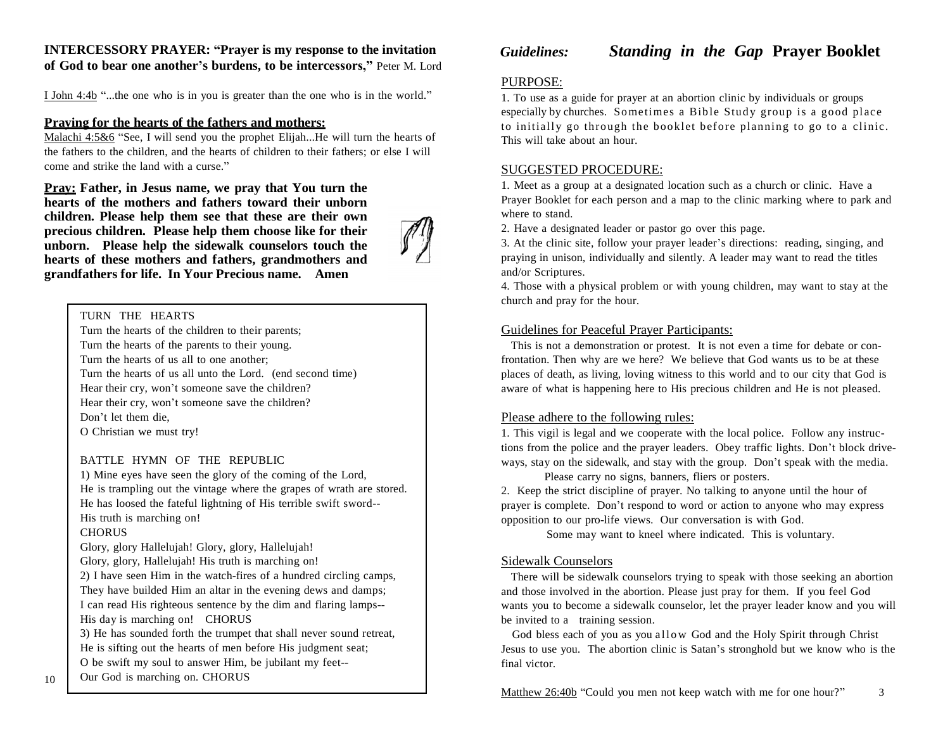#### **INTERCESSORY PRAYER: "Prayer is my response to the invitation of God to bear one another's burdens, to be intercessors,"** Peter M. Lord

I John 4:4b "...the one who is in you is greater than the one who is in the world."

#### **Praying for the hearts of the fathers and mothers:**

Malachi 4:5&6 "See, I will send you the prophet Elijah...He will turn the hearts of the fathers to the children, and the hearts of children to their fathers; or else I will come and strike the land with a curse."

**Pray: Father, in Jesus name, we pray that You turn the hearts of the mothers and fathers toward their unborn children. Please help them see that these are their own precious children. Please help them choose like for their unborn. Please help the sidewalk counselors touch the hearts of these mothers and fathers, grandmothers and grandfathers for life. In Your Precious name. Amen**



TURN THE HEARTS

Turn the hearts of the children to their parents; Turn the hearts of the parents to their young. Turn the hearts of us all to one another; Turn the hearts of us all unto the Lord. (end second time) Hear their cry, won't someone save the children? Hear their cry, won't someone save the children? Don't let them die, O Christian we must try!

#### BATTLE HYMN OF THE REPUBLIC

1) Mine eyes have seen the glory of the coming of the Lord, He is trampling out the vintage where the grapes of wrath are stored. He has loosed the fateful lightning of His terrible swift sword-- His truth is marching on! **CHORUS** 

Glory, glory Hallelujah! Glory, glory, Hallelujah!

Glory, glory, Hallelujah! His truth is marching on!

2) I have seen Him in the watch-fires of a hundred circling camps, They have builded Him an altar in the evening dews and damps; I can read His righteous sentence by the dim and flaring lamps--

His day is marching on! CHORUS

3) He has sounded forth the trumpet that shall never sound retreat, He is sifting out the hearts of men before His judgment seat;

O be swift my soul to answer Him, be jubilant my feet--

10 Our God is marching on. CHORUS

# *Guidelines: Standing in the Gap* **Prayer Booklet**

#### PURPOSE:

1. To use as a guide for prayer at an abortion clinic by individuals or groups especially by churches. Sometimes a Bible Study group is a good place to initially go through the booklet before planning to go to a clinic. This will take about an hour.

#### SUGGESTED PROCEDURE:

1. Meet as a group at a designated location such as a church or clinic. Have a Prayer Booklet for each person and a map to the clinic marking where to park and where to stand.

2. Have a designated leader or pastor go over this page.

3. At the clinic site, follow your prayer leader's directions: reading, singing, and praying in unison, individually and silently. A leader may want to read the titles and/or Scriptures.

4. Those with a physical problem or with young children, may want to stay at the church and pray for the hour.

#### Guidelines for Peaceful Prayer Participants:

This is not a demonstration or protest. It is not even a time for debate or confrontation. Then why are we here? We believe that God wants us to be at these places of death, as living, loving witness to this world and to our city that God is aware of what is happening here to His precious children and He is not pleased.

#### Please adhere to the following rules:

1. This vigil is legal and we cooperate with the local police. Follow any instructions from the police and the prayer leaders. Obey traffic lights. Don't block driveways, stay on the sidewalk, and stay with the group. Don't speak with the media.

Please carry no signs, banners, fliers or posters.

2. Keep the strict discipline of prayer. No talking to anyone until the hour of prayer is complete. Don't respond to word or action to anyone who may express opposition to our pro-life views. Our conversation is with God.

Some may want to kneel where indicated. This is voluntary.

#### Sidewalk Counselors

There will be sidewalk counselors trying to speak with those seeking an abortion and those involved in the abortion. Please just pray for them. If you feel God wants you to become a sidewalk counselor, let the prayer leader know and you will be invited to a training session.

God bless each of you as you allow God and the Holy Spirit through Christ Jesus to use you. The abortion clinic is Satan's stronghold but we know who is the final victor.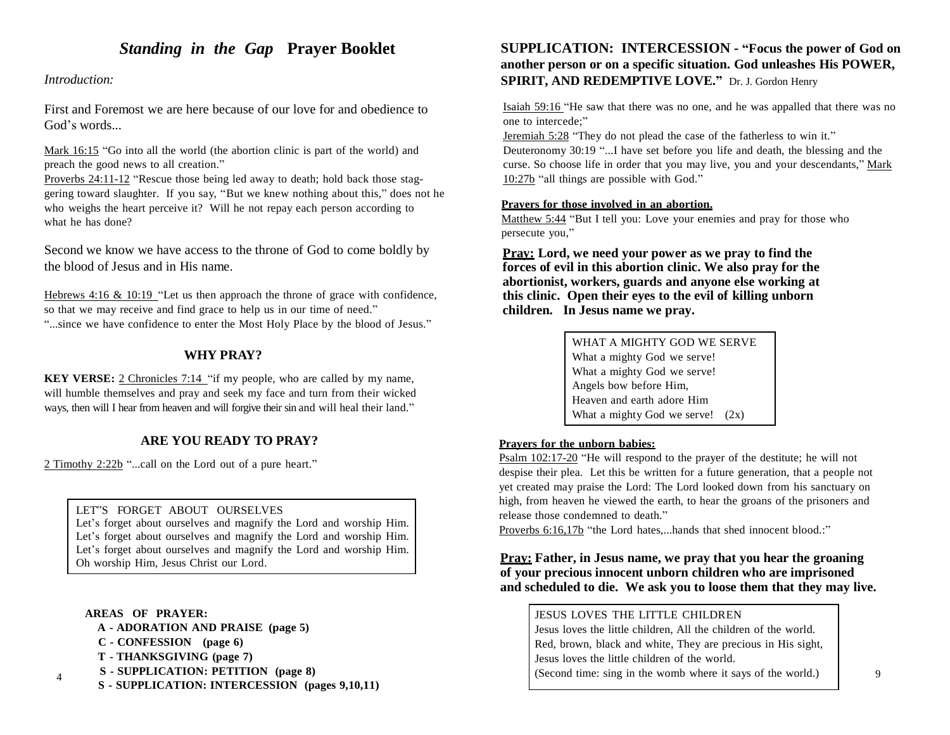*Introduction:*

First and Foremost we are here because of our love for and obedience to God's words...

Mark 16:15 "Go into all the world (the abortion clinic is part of the world) and preach the good news to all creation."

Proverbs 24:11-12 "Rescue those being led away to death; hold back those staggering toward slaughter. If you say, "But we knew nothing about this," does not he who weighs the heart perceive it? Will he not repay each person according to what he has done?

Second we know we have access to the throne of God to come boldly by the blood of Jesus and in His name.

Hebrews 4:16 & 10:19 "Let us then approach the throne of grace with confidence, so that we may receive and find grace to help us in our time of need." "...since we have confidence to enter the Most Holy Place by the blood of Jesus."

#### **WHY PRAY?**

**KEY VERSE:** 2 Chronicles 7:14 "if my people, who are called by my name, will humble themselves and pray and seek my face and turn from their wicked ways, then will I hear from heaven and will forgive their sin and will heal their land."

#### **ARE YOU READY TO PRAY?**

2 Timothy 2:22b "...call on the Lord out of a pure heart."

LET"S FORGET ABOUT OURSELVES

Let's forget about ourselves and magnify the Lord and worship Him. Let's forget about ourselves and magnify the Lord and worship Him. Let's forget about ourselves and magnify the Lord and worship Him. Oh worship Him, Jesus Christ our Lord.

**AREAS OF PRAYER:**

- **A - ADORATION AND PRAISE (page 5)**
- **C - CONFESSION (page 6)**
- **T - THANKSGIVING (page 7)**
- **S - SUPPLICATION: PETITION (page 8)**
- 4 **S - SUPPLICATION: INTERCESSION (pages 9,10,11)**

## *Standing in the Gap* **Prayer Booklet SUPPLICATION: INTERCESSION - "Focus the power of God on another person or on a specific situation. God unleashes His POWER, SPIRIT, AND REDEMPTIVE LOVE."** Dr. J. Gordon Henry

Isaiah 59:16 "He saw that there was no one, and he was appalled that there was no one to intercede;"

Jeremiah 5:28 "They do not plead the case of the fatherless to win it." Deuteronomy 30:19 "...I have set before you life and death, the blessing and the curse. So choose life in order that you may live, you and your descendants," Mark 10:27b "all things are possible with God."

#### **Prayers for those involved in an abortion.**

Matthew 5:44 "But I tell you: Love your enemies and pray for those who persecute you,"

**Pray: Lord, we need your power as we pray to find the forces of evil in this abortion clinic. We also pray for the abortionist, workers, guards and anyone else working at this clinic. Open their eyes to the evil of killing unborn children. In Jesus name we pray.**

| WHAT A MIGHTY GOD WE SERVE         |
|------------------------------------|
| What a mighty God we serve!        |
| What a mighty God we serve!        |
| Angels bow before Him,             |
| Heaven and earth adore Him         |
| What a mighty God we serve! $(2x)$ |

#### **Prayers for the unborn babies:**

Psalm 102:17-20 "He will respond to the prayer of the destitute; he will not despise their plea. Let this be written for a future generation, that a people not yet created may praise the Lord: The Lord looked down from his sanctuary on high, from heaven he viewed the earth, to hear the groans of the prisoners and release those condemned to death."

Proverbs 6:16,17b "the Lord hates,...hands that shed innocent blood.:"

#### **Pray: Father, in Jesus name, we pray that you hear the groaning of your precious innocent unborn children who are imprisoned and scheduled to die. We ask you to loose them that they may live.**

JESUS LOVES THE LITTLE CHILDREN Jesus loves the little children, All the children of the world. Red, brown, black and white, They are precious in His sight, Jesus loves the little children of the world. (Second time: sing in the womb where it says of the world.)  $\vert$  9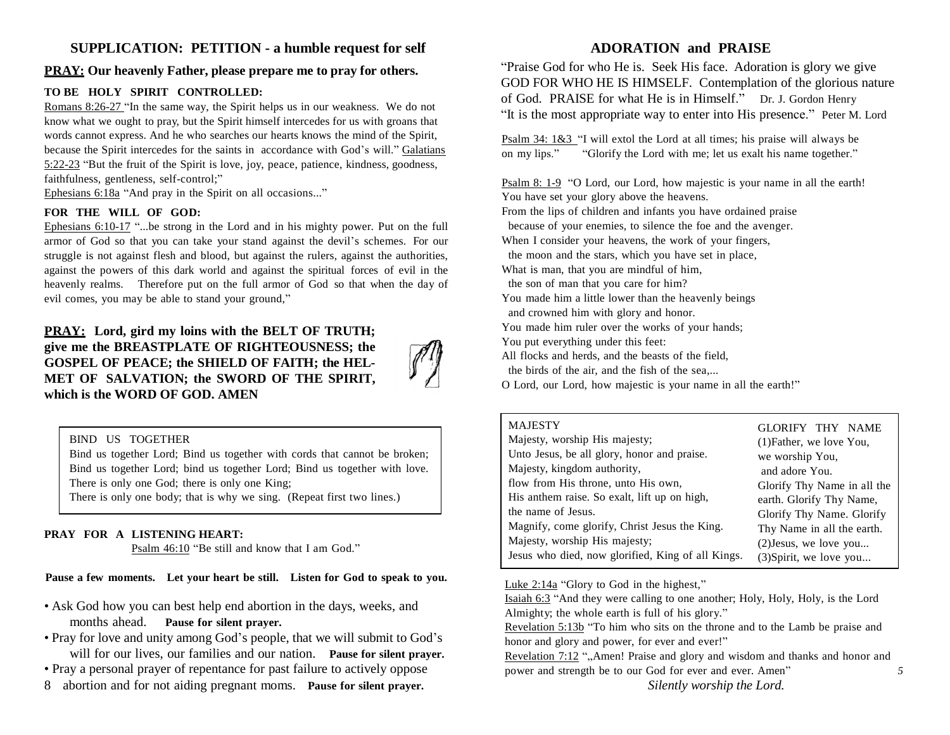# **SUPPLICATION: PETITION - a humble request for self ADORATION and PRAISE**

#### **PRAY: Our heavenly Father, please prepare me to pray for others.**

#### **TO BE HOLY SPIRIT CONTROLLED:**

Romans 8:26-27 "In the same way, the Spirit helps us in our weakness. We do not know what we ought to pray, but the Spirit himself intercedes for us with groans that words cannot express. And he who searches our hearts knows the mind of the Spirit, because the Spirit intercedes for the saints in accordance with God's will." Galatians 5:22-23 "But the fruit of the Spirit is love, joy, peace, patience, kindness, goodness, faithfulness, gentleness, self-control;"

Ephesians 6:18a "And pray in the Spirit on all occasions..."

#### **FOR THE WILL OF GOD:**

Ephesians 6:10-17 "...be strong in the Lord and in his mighty power. Put on the full armor of God so that you can take your stand against the devil's schemes. For our struggle is not against flesh and blood, but against the rulers, against the authorities, against the powers of this dark world and against the spiritual forces of evil in the heavenly realms. Therefore put on the full armor of God so that when the day of evil comes, you may be able to stand your ground,"

### **PRAY: Lord, gird my loins with the BELT OF TRUTH; give me the BREASTPLATE OF RIGHTEOUSNESS; the GOSPEL OF PEACE; the SHIELD OF FAITH; the HEL-MET OF SALVATION; the SWORD OF THE SPIRIT, which is the WORD OF GOD. AMEN**



#### BIND US TOGETHER

Bind us together Lord; Bind us together with cords that cannot be broken; Bind us together Lord; bind us together Lord; Bind us together with love. There is only one God; there is only one King;

There is only one body; that is why we sing. (Repeat first two lines.)

#### **PRAY FOR A LISTENING HEART:**

Psalm 46:10 "Be still and know that I am God."

**Pause a few moments. Let your heart be still. Listen for God to speak to you.**

- Ask God how you can best help end abortion in the days, weeks, and months ahead. **Pause for silent prayer.**
- Pray for love and unity among God's people, that we will submit to God's will for our lives, our families and our nation. **Pause for silent prayer.**
- Pray a personal prayer of repentance for past failure to actively oppose
- 8 abortion and for not aiding pregnant moms. **Pause for silent prayer.**

"Praise God for who He is. Seek His face. Adoration is glory we give GOD FOR WHO HE IS HIMSELF. Contemplation of the glorious nature of God. PRAISE for what He is in Himself." Dr. J. Gordon Henry "It is the most appropriate way to enter into His presence." Peter M. Lord

Psalm 34: 1&3 "I will extol the Lord at all times; his praise will always be on my lips." "Glorify the Lord with me; let us exalt his name together."

Psalm 8: 1-9 "O Lord, our Lord, how majestic is your name in all the earth! You have set your glory above the heavens. From the lips of children and infants you have ordained praise because of your enemies, to silence the foe and the avenger.

When I consider your heavens, the work of your fingers,

the moon and the stars, which you have set in place,

What is man, that you are mindful of him,

the son of man that you care for him?

You made him a little lower than the heavenly beings

and crowned him with glory and honor.

You made him ruler over the works of your hands;

You put everything under this feet:

All flocks and herds, and the beasts of the field,

the birds of the air, and the fish of the sea,...

O Lord, our Lord, how majestic is your name in all the earth!"

#### MAJESTY

| Majesty, worship His majesty;                     | $(1)$ Father, we love You,  |
|---------------------------------------------------|-----------------------------|
| Unto Jesus, be all glory, honor and praise.       | we worship You,             |
| Majesty, kingdom authority,                       | and adore You.              |
| flow from His throne, unto His own,               | Glorify Thy Name in all the |
| His anthem raise. So exalt, lift up on high,      | earth. Glorify Thy Name,    |
| the name of Jesus.                                | Glorify Thy Name. Glorify   |
| Magnify, come glorify, Christ Jesus the King.     | Thy Name in all the earth.  |
| Majesty, worship His majesty;                     | $(2)$ Jesus, we love you    |
| Jesus who died, now glorified, King of all Kings. | (3) Spirit, we love you     |
|                                                   |                             |

Luke 2:14a "Glory to God in the highest,"

Isaiah 6:3 "And they were calling to one another; Holy, Holy, Holy, is the Lord Almighty; the whole earth is full of his glory."

Revelation 5:13b "To him who sits on the throne and to the Lamb be praise and honor and glory and power, for ever and ever!"

Revelation 7:12 ", Amen! Praise and glory and wisdom and thanks and honor and power and strength be to our God for ever and ever. Amen" *5*

*Silently worship the Lord.*

GLORIEY THY NAME